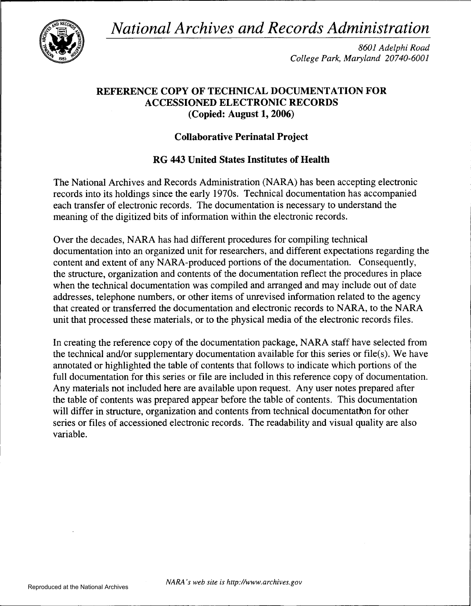*National Archives and Records Administration* 



*8601 Adelphi Road College Park, Maryland 20740-6001* 

## **REFERENCE COPY OF TECHNICAL DOCUMENTATION FOR ACCESSIONED ELECTRONIC RECORDS (Copied: August 1, 2006)**

# **Collaborative Perinatal Project**

# **RG 443 United States Institutes of Health**

The National Archives and Records Administration (NARA) has been accepting electronic records into its holdings since the early 1970s. Technical documentation has accompanied each transfer of electronic records. The documentation is necessary to understand the meaning of the digitized bits of information within the electronic records.

Over the decades, NARA has had different procedures for compiling technical documentation into an organized unit for researchers, and different expectations regarding the content and extent of any NARA-produced portions of the documentation. Consequently, the structure, organization and contents of the documentation reflect the procedures in place when the technical documentation was compiled and arranged and may include out of date addresses, telephone numbers, or other items of unrevised information related to the agency that created or transferred the documentation and electronic records to NARA, to the NARA unit that processed these materials, or to the physical media of the electronic records files.

In creating the reference copy of the documentation package, NARA staff have selected from the technical and/or supplementary documentation available for this series or file(s). We have annotated or highlighted the table of contents that follows to indicate which portions of the full documentation for this series or file are included in this reference copy of documentation. Any materials not included here are available upon request. Any user notes prepared after the table of contents was prepared appear before the table of contents. This documentation will differ in structure, organization and contents from technical documentation for other series or files of accessioned electronic records. The readability and visual quality are also variable.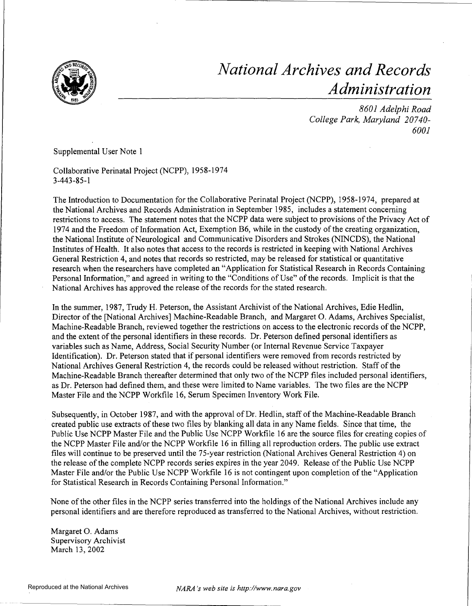

# *National Archives and Records Administration*

*6001 8601 Adelphi Road College Park, Maryland 207 40-*

## Supplemental User Note 1

Collaborative Perinatal Project (NCPP), 1958-1974 3-443-85-1

The Introduction to Documentation for the Collaborative Perinatal Project (NCPP), 1958-1974, prepared at the National Archives and Records Administration in September 1985, includes a statement concerning restrictions to access. The statement notes that the NCPP data were subject to provisions of the Privacy Act of 1974 and the Freedom of Information Act, Exemption B6, while in the custody of the creating organization, the National Institute of Neurological and Communicative Disorders and Strokes (NINCDS), the National Institutes of Health. It also notes that access to the records is restricted in keeping with National Archives General Restriction 4, and notes that records so restricted, may be released for statistical or quantitative research when the researchers have completed an "Application for Statistical Research in Records Containing Personal Information," and agreed in writing to the "Conditions of Use" of the records. Implicit is that the National Archives has approved the release of the records for the stated research.

In the summer, 1987, Trudy H. Peterson, the Assistant Archivist of the National Archives, Edie Redlin, Director of the [National Archives] Machine-Readable Branch, and Margaret 0. Adams, Archives Specialist, Machine-Readable Branch, reviewed together the restrictions on access to the electronic records of the NCPP, and the extent of the personal identifiers in these records. Dr. Peterson defined personal identifiers as variables such as Name, Address, Social Security Number (or Internal Revenue Service Taxpayer Identification). Dr. Peterson stated that if personal identifiers were removed from records restricted by National Archives General Restriction 4, the records could be released without restriction. Staff of the Machine-Readable Branch thereafter determined that only two of the NCPP files included personal identifiers, as Dr. Peterson had defined them, and these were limited to Name variables. The two files are the NCPP Master File and the NCPP Workfile 16, Serum Specimen Inventory Work File.

Subsequently, in October 1987, and with the approval of Dr. Redlin, staff of the Machine-Readable Branch created public use extracts of these two files by blanking all data in any Name fields. Since that time, the Public Use NCPP Master File and the Public Use NCPP Workfile 16 are the source files for creating copies of the NCPP Master File and/or the NCPP Workfile 16 in filling all reproduction orders. The public use extract files will continue to be preserved until the 75-year restriction (National Archives General Restriction 4) on the release of the complete NCPP records series expires in the year 2049. Release of the Public Use NCPP Master File and/or the Public Use NCPP Workfile 16 is not contingent upon completion of the "Application for Statistical Research in Records Containing Personal Information."

None of the other files in the NCPP series transferred into the holdings of the National Archives include any personal identifiers and are therefore reproduced as transferred to the National Archives, without restriction.

Margaret 0. Adams Supervisory Archivist March 13, 2002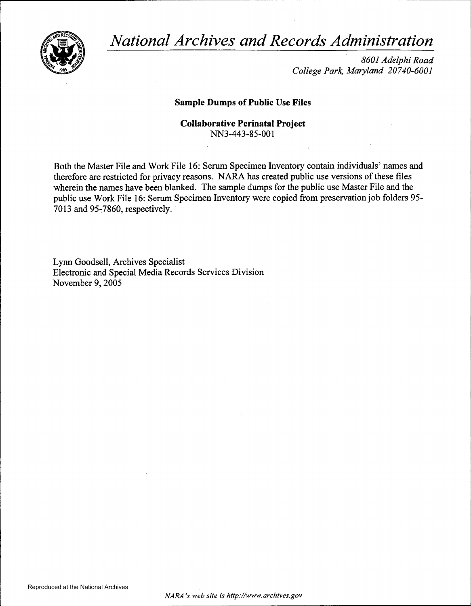*National Archives and Records Administration* 



*8601 Adelphi Road College Park, Maryland 20740-6001* 

## Sample Dumps of Public Use Files

Collaborative Perinatal Project NN3-443-85-001

Both the Master File and Work File 16: Serum Specimen Inventory contain individuals' names and therefore are restricted for privacy reasons. NARA has created public use versions of these files wherein the names have been blanked. The sample dumps for the public use Master File and the public use Work File 16: Serum Specimen Inventory were copied from preservation job folders 95 7013 and 95-7860, respectively.

Lynn Goodsell, Archives Specialist Electronic and Special Media Records Services Division November 9, 2005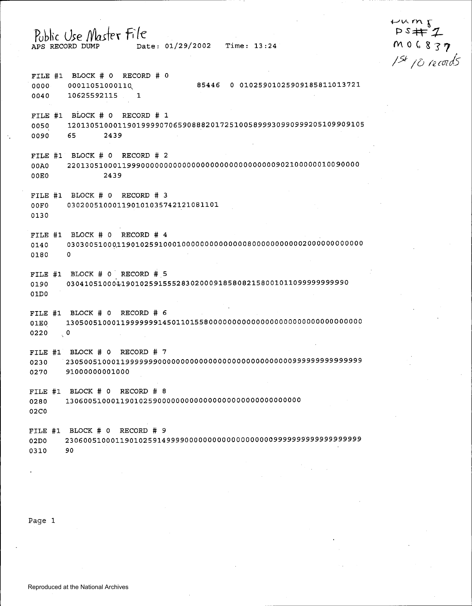# of--' *v,* f"Y\ f  $PS# 2$ Public Use Master File<br>APS RECORD DUMP Date: 01/29/2002 Time: 13:24 MOG837 J5f ;o *!ec-m!s*  FILE #1 BLOCK # 0 RECORD # 0 0000 00011051000110 85446 0 01025901025909185811013721 0040 10625592115 1 FILE #1 BLOCK # 0 RECORD # 1 0050 1201305100011901999907065908882017251005899930990999205109909105 0090 65 2439 FILE #1 BLOCK # 0 RECORD # 2 OOAO 220130510001199900000000000000000000000000000902100000010090000 OOEO 2439 FILE #1 BLOCK # 0 RECORD # 3 OOFO 030200510001190101035742121081101 0130 FILE #1 BLOCK # 0 RECORD # 4 0140 0303005100Q11901025910001000000000000008000000000002000000000000 0180 0 FILE #1 BLOCK # 0 RECORD # 5 0190 0304105100011901025915552830200091858082158001011099999999999 OlDO

FILE #1 BLOCK # 0 RECORD # 6 OlEO 1305005100011999999914501101558000000000000000000000000000000000  $0220$   $0$ 

FILE #1 BLOCK # 0 RECORD # 7 0230 2305005100011999999900000000000000000000000000000999999999999999 0270 91000000001000

FILE #1 BLOCK # 0 RECORD # 8 0280 130600510001190102590000000000000000000000000000000 02CO

FILE #1 BLOCK # 0 RECORD # 9 02DO 2306005100011901025914999900000000000000000009999999999999999999 0310 90

Page 1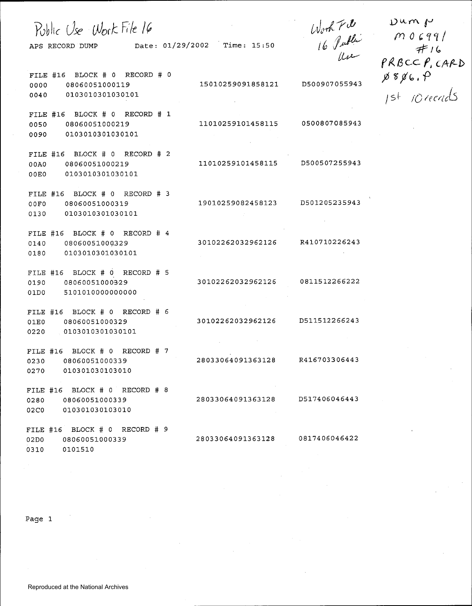| Public Use Work File 16<br>APS RECORD DUMP Date: 01/29/2002 Time: 15:50             |                   | Work File<br>16 Public<br>Use | Dun p<br>M0699/<br>#16<br>PRBCCP, CARD                        |
|-------------------------------------------------------------------------------------|-------------------|-------------------------------|---------------------------------------------------------------|
| FILE #16 BLOCK # 0 RECORD # 0<br>08060051000119<br>0000<br>0103010301030101<br>0040 | 15010259091858121 | D500907055943                 | $\cancel{p}$ 8 $\cancel{p}$ 6. $\cancel{P}$<br>1st 10 recreds |
| FILE #16 BLOCK # 0 RECORD # 1<br>08060051000219<br>0050<br>0103010301030101<br>0090 | 11010259101458115 | 0500807085943                 |                                                               |
| FILE #16 BLOCK # 0 RECORD # 2<br>08060051000219<br>00A0<br>0103010301030101<br>00E0 | 11010259101458115 | D500507255943                 |                                                               |
| FILE #16 BLOCK # 0 RECORD # 3<br>08060051000319<br>00F0<br>0103010301030101<br>0130 | 19010259082458123 | D501205235943                 |                                                               |
| FILE #16 BLOCK # 0 RECORD # 4<br>08060051000329<br>0140<br>0103010301030101<br>0180 | 30102262032962126 | R410710226243                 |                                                               |
| FILE #16 BLOCK # 0 RECORD # 5<br>08060051000329<br>0190<br>5101010000000000<br>01D0 | 30102262032962126 | 0811512266222                 |                                                               |
| FILE #16 BLOCK # 0 RECORD # 6<br>08060051000329<br>01E0<br>0103010301030101<br>0220 | 30102262032962126 | D511512266243                 |                                                               |
| FILE #16 BLOCK # 0 RECORD # 7<br>0230<br>08060051000339<br>0270<br>010301030103010  | 28033064091363128 | R416703306443                 |                                                               |
| FILE #16 BLOCK # 0 RECORD # 8<br>08060051000339<br>0280<br>02C0<br>010301030103010  | 28033064091363128 | D517406046443                 |                                                               |
| FILE #16 BLOCK # 0 RECORD # 9<br>02D0<br>08060051000339<br>0310<br>0101510          | 28033064091363128 | 0817406046422                 |                                                               |

 $\sim$ 

Page 1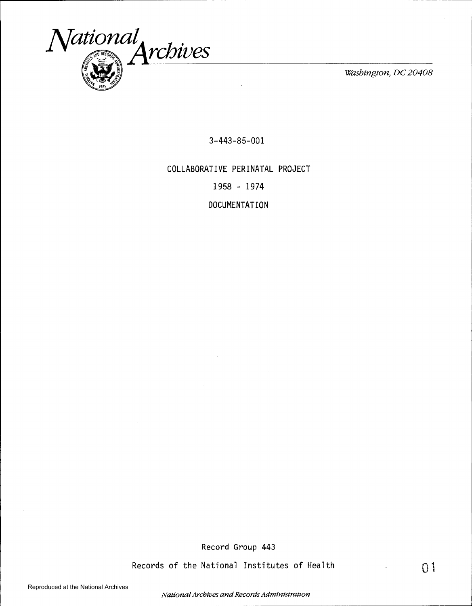

3-443-85-001

COLLABORATIVE PERINATAL PROJECT

1958 - 1974

DOCUMENTATION

Record Group 443

Records of the National Institutes of Health

Reproduced at the National Archives

*National Archives and Records Administration* 

01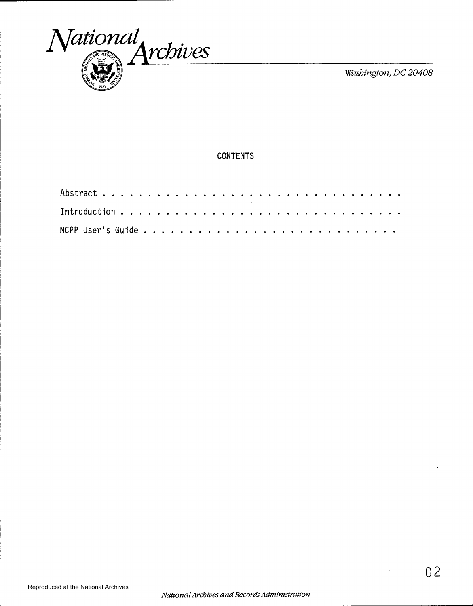

## **CONTENTS**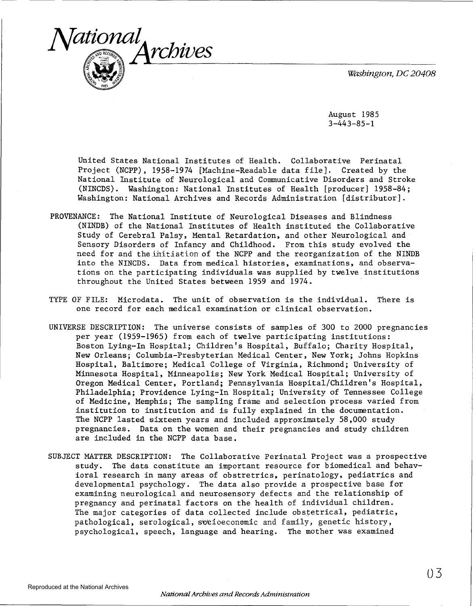

August 1985  $3 - 443 - 85 - 1$ 

United States National Institutes of Health. Collaborative Perinatal Project (NCPP), 1958-1974 [Machine-Readable data file]. Created by the National Institute of Neurological and Communicative Disorders and Stroke (NINCDS). Washington: National Institutes of Health [producer] 1958-84; Washington: National Archives and Records Administration [distributor].

- PROVENANCE: The National Institute of Neurological Diseases and Blindness (NINDB) of the National Institutes of Health instituted the Collaborative Study of Cerebral Palsy, Mental Retardation, and other Neurological and Sensory Disorders of Infancy and Childhood. From this study evolved the need for and the initiation of the NCPP and the reorganization of the NINDB into the NINCDS. Data from medical histories, examinations, and observations on the participating individuals was supplied by twelve institutions throughout the United States between 1959 and 1974.
- TYPE OF FILE: Microdata. The unit of observation is the individual. There is one record for each medical examination or clinical observation.
- UNIVERSE DESCRIPTION: The universe consists of samples of 300 to 2000 pregnancies per year (1959-1965) from each of twelve participating institutions: Boston Lying-In Hospital; Children's Hospital, Buffalo; Charity Hospital, New Orleans; Columbia-Presbyterian Medical Center, New York; Johns Hopkins Hospital, Baltimore; Medical College of Virginia, Richmond; University of Minnesota Hospital, Minneapolis; New York Medical Hospital; University of Oregon Medical Center, Portland; Pennsylvania Hospital/Children's Hospital, Philadelphia; Providence Lying-In Hospital; University of Tennessee College of Medicine, Memphis; The sampling frame and selection process varied from institution to institution and is fully explained in the documentation. The NCPP lasted sixteen years and included approximately 58,000 study pregnancies. Data on the women and their pregnancies and study children are included in the NCPP data base.
- SUBJECT MATTER DESCRIPTION: The Collaborative Perinatal Project was a prospective study. The data constitute an important resource for biomedical and behavioral research in many areas of obstretrics, perinatology, pediatrics and developmental psychology. The data also provide a prospective base for examining neurological and neurosensory defects and the relationship of pregnancy and perinatal factors on the health of individual children. The major categories of data collected include obstetrical, pediatric, pathological, serological, socioeconomic and family, genetic history, psychological, speech, language and hearing. The mother was examined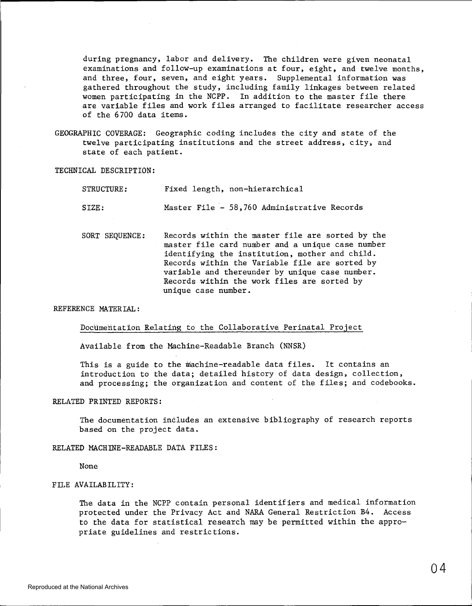during pregnancy, labor and delivery. The children were given neonatal examinations and follow-up examinations at four, eight, and twelve months, and three, four, seven, and eight years. Supplemental information was gathered throughout the study, including family linkages between related women participating in the NCPP. In addition to the master file there are variable files and work files arranged to facilitate researcher access of the 6700 data items.

GEOGRAPHIC COVERAGE: Geographic coding includes the city and state of the twelve participating institutions and the street address, city, and state of each patient.

TECHNICAL DESCRIPTION:

| STRUCTURE: |  | Fixed length, non-hierarchical              |  |
|------------|--|---------------------------------------------|--|
| SIZE:      |  | Master File - 58,760 Administrative Records |  |

SORT SEQUENCE: Records within the master file are sorted by the master file card number and a unique case number identifying the institution, mother and child. Records within the Variable file are sorted by variable and thereunder by unique case number. Records within the work files are sorted by unique case number.

#### REFERENCE MATERIAL:

### Documentation Relating to the Collaborative Perinatal Project

Available from the Machine-Readable Branch (NNSR)

This is a guide to the machine-readable data files. It contains an introduction to the data; detailed history of data design, collection, and processing; the organization and content of the files; and codebooks.

### RELATED PRINTED REPORTS:

The documentation includes an extensive bibliography of research reports based on the project data.

#### RELATED MACHINE-READABLE DATA FILES:

None

## FILE AVAILABILITY:

The data in the NCPP contain personal identifiers and medical information protected under the Privacy Act and NARA General Restriction B4. Access to the data for statistical research may be permitted within the appropriate guidelines and restrictions.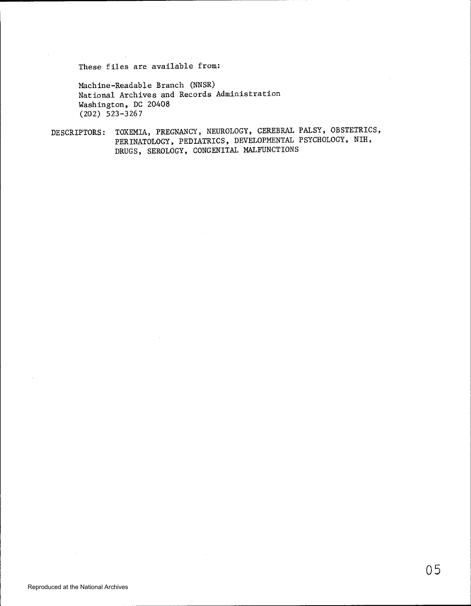These files are available from:

Machine-Readable Branch (NNSR) National Archives and Records Administration Washington, DC 20408 (202) 523-3267

DESCRIPTORS: TOXEMIA, PREGNANCY, NEUROLOGY, CEREBRAL PALSY, OBSTETRICS, PERINATOLOGY, PEDIATRICS, DEVELOPMENTAL PSYCHOLOGY, NIH, DRUGS, SEROLOGY, CONGENITAL MALFUNCTIONS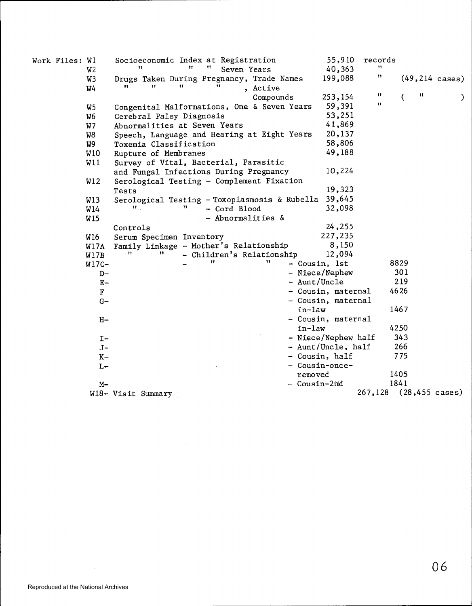| Work Files: Wl | W2                | Socioeconomic Index at Registration<br>Seven Years                      |              | 55,910<br>40,363    | records<br>11          |      |                           |
|----------------|-------------------|-------------------------------------------------------------------------|--------------|---------------------|------------------------|------|---------------------------|
|                | W3<br>W4          | Drugs Taken During Pregnancy, Trade Names<br>11<br>11<br>11<br>, Active |              | 199,088             | Ħ                      |      | $(49, 214 \text{ cases})$ |
|                |                   | Compounds                                                               |              | 253,154             | π                      | Ħ    |                           |
|                |                   | Congenital Malformations, One & Seven Years                             |              | 59,391              | Ħ                      |      | €                         |
|                | W5<br>W6          | Cerebral Palsy Diagnosis                                                |              | 53,251              |                        |      |                           |
|                | W7                | Abnormalities at Seven Years                                            |              | 41,869              |                        |      |                           |
|                | W8                | Speech, Language and Hearing at Eight Years                             |              | 20,137              |                        |      |                           |
|                | W9                | Toxemia Classification                                                  |              | 58,806              |                        |      |                           |
|                | W10               |                                                                         | 49,188       |                     |                        |      |                           |
|                | W11               | Rupture of Membranes                                                    |              |                     |                        |      |                           |
|                |                   | Survey of Vital, Bacterial, Parasitic                                   |              | 10,224              |                        |      |                           |
|                |                   | and Fungal Infections During Pregnancy                                  |              |                     |                        |      |                           |
|                | W12               | Serological Testing - Complement Fixation                               |              | 19,323              |                        |      |                           |
|                |                   | Tests                                                                   |              |                     |                        |      |                           |
|                | <b>W13</b><br>W14 | Serological Testing - Toxoplasmosis & Rubella 39,645<br>- Cord Blood    |              | 32,098              |                        |      |                           |
|                | <b>W15</b>        | - Abnormalities &                                                       |              |                     |                        |      |                           |
|                |                   |                                                                         |              | 24,255              |                        |      |                           |
|                | W16               | Controls                                                                |              | 227,235             |                        |      |                           |
|                |                   | Serum Specimen Inventory<br>Family Linkage - Mother's Relationship      |              | 8,150               |                        |      |                           |
|                | W17A<br>W17B      | - Children's Relationship                                               |              | 12,094              |                        |      |                           |
|                | $W17C-$           | 11                                                                      |              | - Cousin, 1st       |                        | 8829 |                           |
|                | D-                |                                                                         |              | - Niece/Nephew      |                        | 301  |                           |
|                | $E-$              |                                                                         | - Aunt/Uncle |                     |                        | 219  |                           |
|                | $\mathbf F$       |                                                                         |              | - Cousin, maternal  |                        | 4626 |                           |
|                | $G-$              |                                                                         |              | - Cousin, maternal  |                        |      |                           |
|                |                   |                                                                         | in-law       |                     |                        | 1467 |                           |
|                | $H-$              |                                                                         |              | - Cousin, maternal  |                        |      |                           |
|                |                   |                                                                         | in-law       |                     |                        | 4250 |                           |
|                | $I -$             |                                                                         |              | - Niece/Nephew half |                        | 343  |                           |
|                | $J -$             |                                                                         |              | - Aunt/Uncle, half  |                        | 266  |                           |
|                | $K-$              |                                                                         |              | - Cousin, half      |                        | 775  |                           |
|                | $L -$             |                                                                         |              | - Cousin-once-      |                        |      |                           |
|                |                   |                                                                         | removed      |                     |                        | 1405 |                           |
|                | $M -$             |                                                                         | - Cousin-2nd |                     |                        | 1841 |                           |
|                |                   | W18- Visit Summary                                                      |              |                     | 267,128 (28,455 cases) |      |                           |
|                |                   |                                                                         |              |                     |                        |      |                           |

 $\sim 10^{-1}$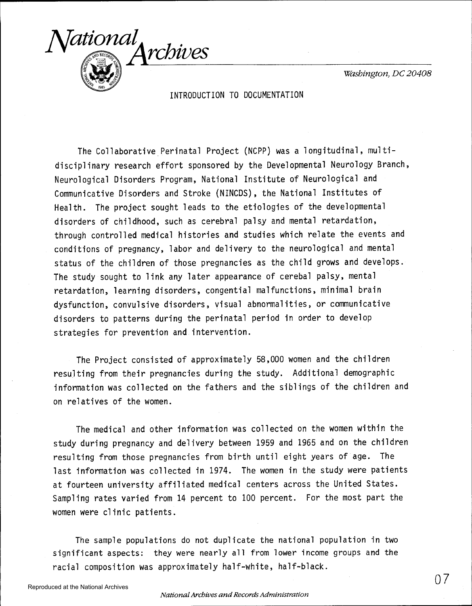

INTRODUCTION TO DOCUMENTATION

The Collaborative Perinatal Project (NCPP) was a longitudinal, multidisciplinary research effort sponsored by the Developmental Neurology Branch, Neurological Disorders Program, National Institute of Neurological and Communicative Disorders and Stroke (NINCDS), the National Institutes of Health. The project sought leads to the etiologies of the developmental disorders of childhood, such as cerebral palsy and mental retardation, through controlled medical histories and studies which relate the events and conditions of pregnancy, labor and delivery to the neurological and mental status of the children of those pregnancies as the child grows and develops. The study sought to link any later appearance of cerebal palsy, mental retardation, learning disorders, congential malfunctions, minimal brain dysfunction, convulsive disorders, visual abnormalities, or communicative disorders to patterns during the perinatal period in order to develop strategies for prevention and intervention.

The Project consisted of approximately 58,000 women and the children resulting from their pregnancies during the study. Additional demographic information was collected on the fathers and the siblings of the children and on relatives of the women.

The medical and other information was collected on the women within the study during pregnancy and delivery between 1959 and 1965 and on the children resulting from those pregnancies from birth until eight years of age. The last information was collected in 1974. The women in the study were patients at fourteen university affiliated medical centers across the United States. Sampling rates varied from 14 percent to 100 percent. For the most part the women were clinic patients.

The sample populations do not duplicate the national population in two significant aspects: they were nearly all from lower income groups and the racial composition was approximately half-white, half-black.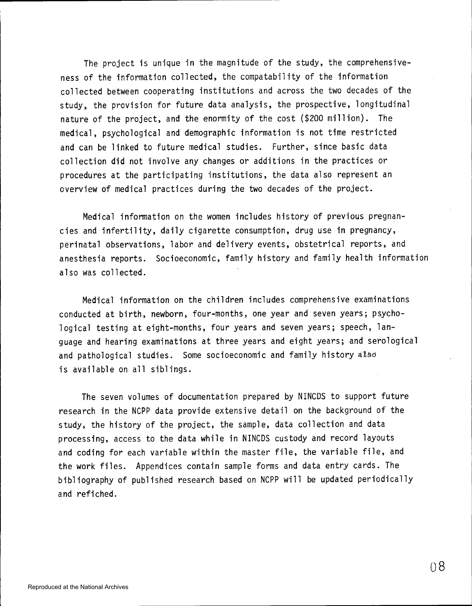The project is unique in the magnitude of the study, the comprehensiveness of the information collected, the compatability of the information collected between cooperating institutions and across the two decades of the study, the provision for future data analysis, the prospective, longitudinal nature of the project, and the enormity of the cost (\$200 million). The medical, psychological and demographic information is not time restricted and can be linked to future medical studies. Further, since basic data collection did not involve any changes or additions in the practices or procedures at the participating institutions, the data also represent an overview of medical practices during the two decades of the project.

Medical information on the women includes history of previous pregnancies and infertility, daily cigarette consumption, drug use in pregnancy, perinatal observations, labor and delivery events, obstetrical reports, and anesthesia reports. Socioeconomic, family history and family health information also was collected.

Medical information on the children includes comprehensive examinations conducted at birth, newborn, four-months, one year and seven years; psychological testing at eight-months, four years and seven years; speech, language and hearing examinations at three years and eight years; and serological and pathological studies. Some socioeconomic and family history also is available on all siblings.

The seven volumes of documentation prepared by NINCDS to support future research in the NCPP data provide extensive detail on the background of the study, the history of the project, the sample, data collection and data processing, access to the data while in NINCDS custody and record layouts and coding for each variable within the master file, the variable file, and the work files. Appendices contain sample forms and data entry cards. The bibliography of published research based on NCPP will be updated periodically and refiched.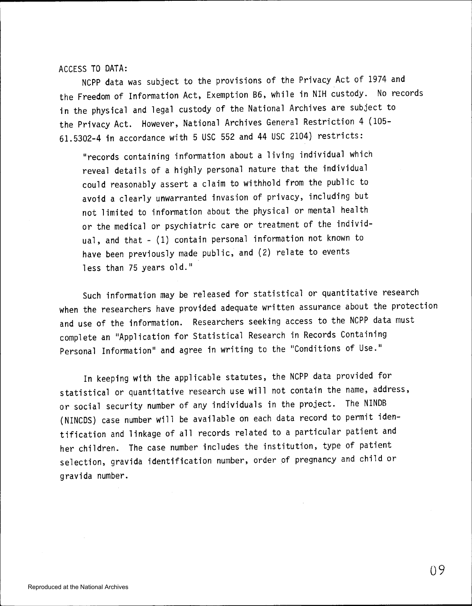ACCESS TO DATA:

NCPP data was subject to the provisions of the Privacy Act of 1974 and the Freedom of Information Act, Exemption 86, while in NIH custody. No records in the physical and legal custody of the National Archives are subject to the Privacy Act. However, National Archives General Restriction 4 (105 61.5302-4 in accordance with 5 USC 552 and 44 USC 2104) restricts:

"records containing information about a living individual which reveal details of a highly personal nature that the individual could reasonably assert a claim to withhold from the public to avoid a clearly unwarranted invasion of privacy, including but not limited to information about the physical or mental health or the medical or psychiatric care or treatment of the individ ual, and that- (1) contain personal information not known to have been previously made public, and (2) relate to events less than 75 years old."

Such information may be released for statistical or quantitative research when the researchers have provided adequate written assurance about the protection and use of the information. Researchers seeking access to the NCPP data must complete an 11 Application for Statistical Research in Records Containing Personal Information" and agree in writing to the "Conditions of Use."

In keeping with the applicable statutes, the NCPP data provided for statistical or quantitative research use will not contain the name, address, or social security number of any individuals in the project. The NINDB (NINCDS) case number will be available on each data record to permit identification and linkage of all records related to a particular patient and her children. The case number includes the institution, type of patient selection, gravida identification number, order of pregnancy and child or gravida number.